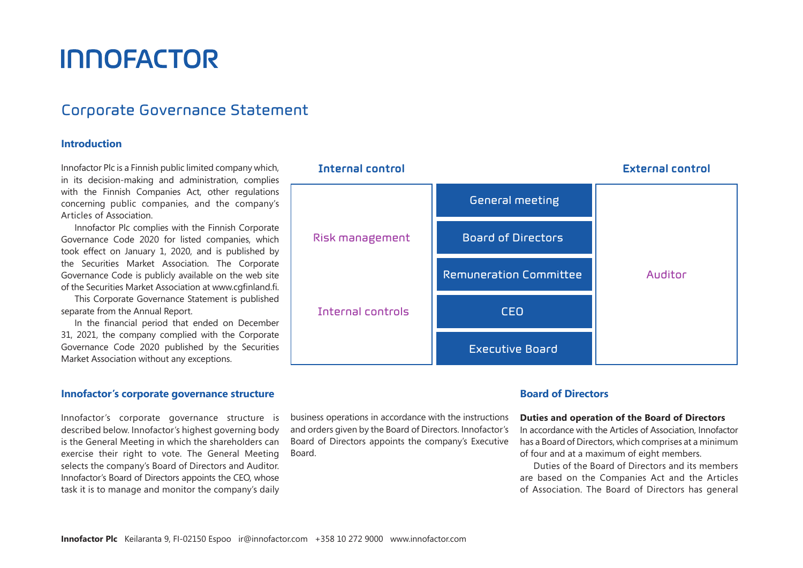# **INNOFACTOR**

# Corporate Governance Statement

# **Introduction**

Innofactor Plc is a Finnish public limited company which, in its decision-making and administration, complies with the Finnish Companies Act, other regulations concerning public companies, and the company's Articles of Association.

Innofactor Plc complies with the Finnish Corporate Governance Code 2020 for listed companies, which took effect on January 1, 2020, and is published by the Securities Market Association. The Corporate Governance Code is publicly available on the web site of the Securities Market Association at www.cgfinland.fi.

This Corporate Governance Statement is published separate from the Annual Report.

In the financial period that ended on December 31, 2021, the company complied with the Corporate Governance Code 2020 published by the Securities Market Association without any exceptions.

# **Innofactor's corporate governance structure**

Innofactor's corporate governance structure is described below. Innofactor's highest governing body is the General Meeting in which the shareholders can exercise their right to vote. The General Meeting selects the company's Board of Directors and Auditor. Innofactor's Board of Directors appoints the CEO, whose task it is to manage and monitor the company's daily



business operations in accordance with the instructions and orders given by the Board of Directors. Innofactor's Board of Directors appoints the company's Executive Board.

# **Board of Directors**

# **Duties and operation of the Board of Directors**

In accordance with the Articles of Association, Innofactor has a Board of Directors, which comprises at a minimum of four and at a maximum of eight members.

Duties of the Board of Directors and its members are based on the Companies Act and the Articles of Association. The Board of Directors has general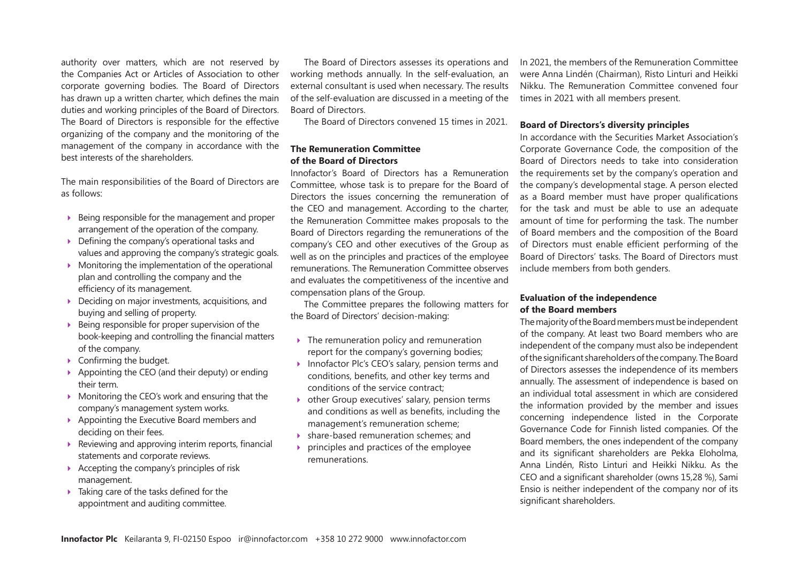authority over matters, which are not reserved by the Companies Act or Articles of Association to other corporate governing bodies. The Board of Directors has drawn up a written charter, which defines the main duties and working principles of the Board of Directors. The Board of Directors is responsible for the effective organizing of the company and the monitoring of the management of the company in accordance with the best interests of the shareholders.

The main responsibilities of the Board of Directors are as follows:

- $\triangleright$  Being responsible for the management and proper arrangement of the operation of the company.
- $\triangleright$  Defining the company's operational tasks and values and approving the company's strategic goals.
- Monitoring the implementation of the operational plan and controlling the company and the efficiency of its management.
- ▶ Deciding on major investments, acquisitions, and buying and selling of property.
- $\triangleright$  Being responsible for proper supervision of the book-keeping and controlling the financial matters of the company.
- Confirming the budget.
- Appointing the CEO (and their deputy) or ending their term.
- ▶ Monitoring the CEO's work and ensuring that the company's management system works.
- Appointing the Executive Board members and deciding on their fees.
- $\triangleright$  Reviewing and approving interim reports, financial statements and corporate reviews.
- $\triangleright$  Accepting the company's principles of risk management.
- ▶ Taking care of the tasks defined for the appointment and auditing committee.

The Board of Directors assesses its operations and working methods annually. In the self-evaluation, an external consultant is used when necessary. The results of the self-evaluation are discussed in a meeting of the Board of Directors.

The Board of Directors convened 15 times in 2021.

# **The Remuneration Committee of the Board of Directors**

Innofactor's Board of Directors has a Remuneration Committee, whose task is to prepare for the Board of Directors the issues concerning the remuneration of the CEO and management. According to the charter, the Remuneration Committee makes proposals to the Board of Directors regarding the remunerations of the company's CEO and other executives of the Group as well as on the principles and practices of the employee remunerations. The Remuneration Committee observes and evaluates the competitiveness of the incentive and compensation plans of the Group.

The Committee prepares the following matters for the Board of Directors' decision-making:

- $\triangleright$  The remuneration policy and remuneration report for the company's governing bodies;
- ▶ Innofactor Plc's CEO's salary, pension terms and conditions, benefits, and other key terms and conditions of the service contract;
- ▶ other Group executives' salary, pension terms and conditions as well as benefits, including the management's remuneration scheme;
- share-based remuneration schemes; and
- principles and practices of the employee remunerations.

In 2021, the members of the Remuneration Committee were Anna Lindén (Chairman), Risto Linturi and Heikki Nikku. The Remuneration Committee convened four times in 2021 with all members present.

# **Board of Directors's diversity principles**

In accordance with the Securities Market Association's Corporate Governance Code, the composition of the Board of Directors needs to take into consideration the requirements set by the company's operation and the company's developmental stage. A person elected as a Board member must have proper qualifications for the task and must be able to use an adequate amount of time for performing the task. The number of Board members and the composition of the Board of Directors must enable efficient performing of the Board of Directors' tasks. The Board of Directors must include members from both genders.

# **Evaluation of the independence of the Board members**

The majority of the Board members must be independent of the company. At least two Board members who are independent of the company must also be independent of the significant shareholders of the company. The Board of Directors assesses the independence of its members annually. The assessment of independence is based on an individual total assessment in which are considered the information provided by the member and issues concerning independence listed in the Corporate Governance Code for Finnish listed companies. Of the Board members, the ones independent of the company and its significant shareholders are Pekka Eloholma, Anna Lindén, Risto Linturi and Heikki Nikku. As the CEO and a significant shareholder (owns 15,28 %), Sami Ensio is neither independent of the company nor of its significant shareholders.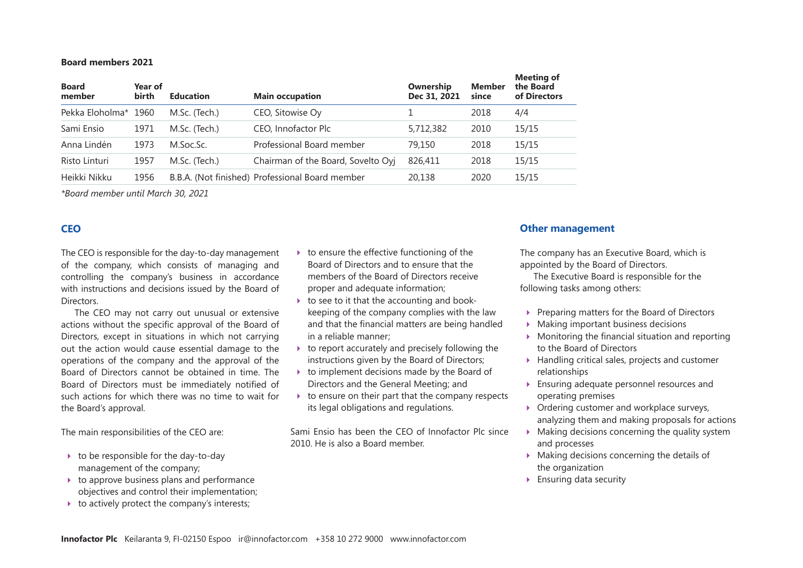#### **Board members 2021**

| <b>Member</b><br><b>Board</b><br>Year of<br>Ownership<br><b>Main occupation</b><br>birth<br>Dec 31, 2021<br><b>Education</b><br>member<br>since | the Board<br>of Directors |
|-------------------------------------------------------------------------------------------------------------------------------------------------|---------------------------|
| Pekka Eloholma*<br>CEO, Sitowise Oy<br>M.Sc. (Tech.)<br>2018<br>1960                                                                            | 4/4                       |
| CEO, Innofactor Plc<br>5,712,382<br>Sami Ensio<br>1971<br>M.Sc. (Tech.)<br>2010                                                                 | 15/15                     |
| Professional Board member<br>Anna Lindén<br>1973<br>79,150<br>2018<br>M.Soc.Sc.                                                                 | 15/15                     |
| M.Sc. (Tech.)<br>Chairman of the Board, Sovelto Oyj<br>Risto Linturi<br>1957<br>826,411<br>2018                                                 | 15/15                     |
| B.B.A. (Not finished) Professional Board member<br>Heikki Nikku<br>1956<br>2020<br>20.138                                                       | 15/15                     |

*\*Board member until March 30, 2021*

# **CEO**

The CEO is responsible for the day-to-day management of the company, which consists of managing and controlling the company's business in accordance with instructions and decisions issued by the Board of **Directors** 

The CEO may not carry out unusual or extensive actions without the specific approval of the Board of Directors, except in situations in which not carrying out the action would cause essential damage to the operations of the company and the approval of the Board of Directors cannot be obtained in time. The Board of Directors must be immediately notified of such actions for which there was no time to wait for the Board's approval.

The main responsibilities of the CEO are:

- $\rightarrow$  to be responsible for the day-to-day management of the company;
- $\rightarrow$  to approve business plans and performance objectives and control their implementation;
- $\rightarrow$  to actively protect the company's interests;
- $\rightarrow$  to ensure the effective functioning of the Board of Directors and to ensure that the members of the Board of Directors receive proper and adequate information;
- $\triangleright$  to see to it that the accounting and bookkeeping of the company complies with the law and that the financial matters are being handled in a reliable manner;
- $\triangleright$  to report accurately and precisely following the instructions given by the Board of Directors;
- $\rightarrow$  to implement decisions made by the Board of Directors and the General Meeting; and
- $\rightarrow$  to ensure on their part that the company respects its legal obligations and regulations.

Sami Ensio has been the CEO of Innofactor Plc since 2010. He is also a Board member.

# **Other management**

The company has an Executive Board, which is appointed by the Board of Directors.

The Executive Board is responsible for the following tasks among others:

- ▶ Preparing matters for the Board of Directors
- **Making important business decisions**
- $\blacktriangleright$  Monitoring the financial situation and reporting to the Board of Directors
- ▶ Handling critical sales, projects and customer relationships
- Ensuring adequate personnel resources and operating premises
- ▶ Ordering customer and workplace surveys, analyzing them and making proposals for actions
- $\blacktriangleright$  Making decisions concerning the quality system and processes
- $\triangleright$  Making decisions concerning the details of the organization
- ▶ Ensuring data security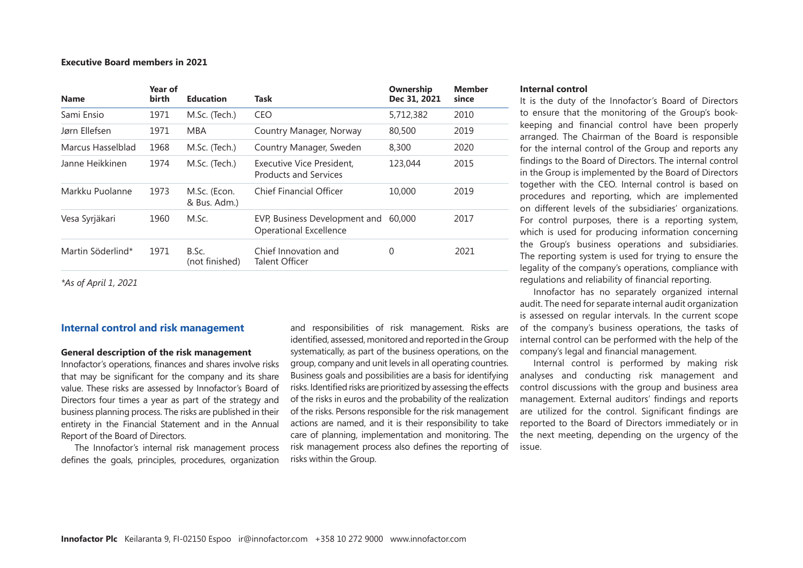#### **Executive Board members in 2021**

| <b>Name</b>       | Year of<br>birth | <b>Education</b>             | Task                                                           | Ownership<br>Dec 31, 2021 | <b>Member</b><br>since |
|-------------------|------------------|------------------------------|----------------------------------------------------------------|---------------------------|------------------------|
| Sami Ensio        | 1971             | M.Sc. (Tech.)                | <b>CEO</b>                                                     | 5,712,382                 | 2010                   |
| Jørn Ellefsen     | 1971             | <b>MBA</b>                   | Country Manager, Norway                                        | 80,500                    | 2019                   |
| Marcus Hasselblad | 1968             | M.Sc. (Tech.)                | Country Manager, Sweden                                        | 8,300                     | 2020                   |
| Janne Heikkinen   | 1974             | M.Sc. (Tech.)                | Executive Vice President.<br><b>Products and Services</b>      | 123,044                   | 2015                   |
| Markku Puolanne   | 1973             | M.Sc. (Econ.<br>& Bus. Adm.) | <b>Chief Financial Officer</b>                                 | 10,000                    | 2019                   |
| Vesa Syrjäkari    | 1960             | M.Sc.                        | EVP, Business Development and<br><b>Operational Excellence</b> | 60,000                    | 2017                   |
| Martin Söderlind* | 1971             | B.Sc.<br>(not finished)      | Chief Innovation and<br>Talent Officer                         | 0                         | 2021                   |
|                   |                  |                              |                                                                |                           |                        |

*\*As of April 1, 2021*

#### **Internal control and risk management**

#### **General description of the risk management**

Innofactor's operations, finances and shares involve risks that may be significant for the company and its share value. These risks are assessed by Innofactor's Board of Directors four times a year as part of the strategy and business planning process. The risks are published in their entirety in the Financial Statement and in the Annual Report of the Board of Directors.

The Innofactor's internal risk management process defines the goals, principles, procedures, organization

and responsibilities of risk management. Risks are identified, assessed, monitored and reported in the Group systematically, as part of the business operations, on the group, company and unit levels in all operating countries. Business goals and possibilities are a basis for identifying risks. Identified risks are prioritized by assessing the effects of the risks in euros and the probability of the realization of the risks. Persons responsible for the risk management actions are named, and it is their responsibility to take care of planning, implementation and monitoring. The risk management process also defines the reporting of risks within the Group.

#### **Internal control**

It is the duty of the Innofactor's Board of Directors to ensure that the monitoring of the Group's bookkeeping and financial control have been properly arranged. The Chairman of the Board is responsible for the internal control of the Group and reports any findings to the Board of Directors. The internal control in the Group is implemented by the Board of Directors together with the CEO. Internal control is based on procedures and reporting, which are implemented on different levels of the subsidiaries' organizations. For control purposes, there is a reporting system, which is used for producing information concerning the Group's business operations and subsidiaries. The reporting system is used for trying to ensure the legality of the company's operations, compliance with regulations and reliability of financial reporting.

Innofactor has no separately organized internal audit. The need for separate internal audit organization is assessed on regular intervals. In the current scope of the company's business operations, the tasks of internal control can be performed with the help of the company's legal and financial management.

Internal control is performed by making risk analyses and conducting risk management and control discussions with the group and business area management. External auditors' findings and reports are utilized for the control. Significant findings are reported to the Board of Directors immediately or in the next meeting, depending on the urgency of the issue.